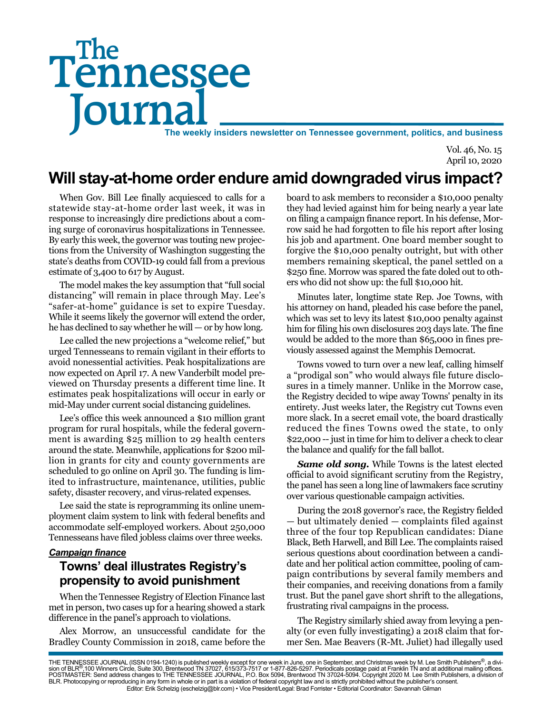# Tennessee **Journal** The weekly insiders newsletter on Tennessee government, politics, and business The

Vol. 46, No. 15 April 10, 2020

## **Will stay-at-home order endure amid downgraded virus impact?**

When Gov. Bill Lee finally acquiesced to calls for a statewide stay-at-home order last week, it was in response to increasingly dire predictions about a coming surge of coronavirus hospitalizations in Tennessee. By early this week, the governor was touting new projections from the University of Washington suggesting the state's deaths from COVID-19 could fall from a previous estimate of 3,400 to 617 by August.

The model makes the key assumption that "full social distancing" will remain in place through May. Lee's "safer-at-home" guidance is set to expire Tuesday. While it seems likely the governor will extend the order, he has declined to say whether he will — or by how long.

Lee called the new projections a "welcome relief," but urged Tennesseans to remain vigilant in their efforts to avoid nonessential activities. Peak hospitalizations are now expected on April 17. A new Vanderbilt model previewed on Thursday presents a different time line. It estimates peak hospitalizations will occur in early or mid-May under current social distancing guidelines.

Lee's office this week announced a \$10 million grant program for rural hospitals, while the federal government is awarding \$25 million to 29 health centers around the state. Meanwhile, applications for \$200 million in grants for city and county governments are scheduled to go online on April 30. The funding is limited to infrastructure, maintenance, utilities, public safety, disaster recovery, and virus-related expenses.

Lee said the state is reprogramming its online unemployment claim system to link with federal benefits and accommodate self-employed workers. About 250,000 Tennesseans have filed jobless claims over three weeks.

#### *Campaign finance*

#### **Towns' deal illustrates Registry's propensity to avoid punishment**

When the Tennessee Registry of Election Finance last met in person, two cases up for a hearing showed a stark difference in the panel's approach to violations.

Alex Morrow, an unsuccessful candidate for the Bradley County Commission in 2018, came before the

board to ask members to reconsider a \$10,000 penalty they had levied against him for being nearly a year late on filing a campaign finance report. In his defense, Morrow said he had forgotten to file his report after losing his job and apartment. One board member sought to forgive the \$10,000 penalty outright, but with other members remaining skeptical, the panel settled on a \$250 fine. Morrow was spared the fate doled out to others who did not show up: the full \$10,000 hit.

Minutes later, longtime state Rep. Joe Towns, with his attorney on hand, pleaded his case before the panel, which was set to levy its latest \$10,000 penalty against him for filing his own disclosures 203 days late. The fine would be added to the more than \$65,000 in fines previously assessed against the Memphis Democrat.

Towns vowed to turn over a new leaf, calling himself a "prodigal son" who would always file future disclosures in a timely manner. Unlike in the Morrow case, the Registry decided to wipe away Towns' penalty in its entirety. Just weeks later, the Registry cut Towns even more slack. In a secret email vote, the board drastically reduced the fines Towns owed the state, to only \$22,000 -- just in time for him to deliver a check to clear the balance and qualify for the fall ballot.

**Same old song.** While Towns is the latest elected official to avoid significant scrutiny from the Registry, the panel has seen a long line of lawmakers face scrutiny over various questionable campaign activities.

During the 2018 governor's race, the Registry fielded — but ultimately denied — complaints filed against three of the four top Republican candidates: Diane Black, Beth Harwell, and Bill Lee. The complaints raised serious questions about coordination between a candidate and her political action committee, pooling of campaign contributions by several family members and their companies, and receiving donations from a family trust. But the panel gave short shrift to the allegations, frustrating rival campaigns in the process.

The Registry similarly shied away from levying a penalty (or even fully investigating) a 2018 claim that former Sen. Mae Beavers (R-Mt. Juliet) had illegally used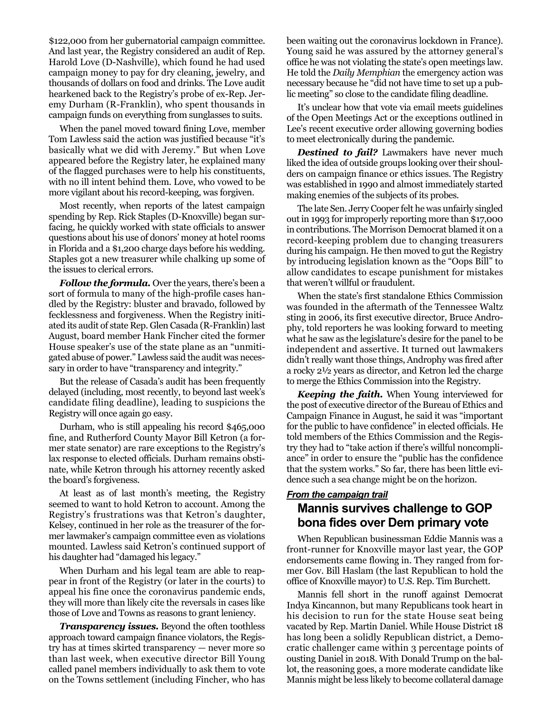\$122,000 from her gubernatorial campaign committee. And last year, the Registry considered an audit of Rep. Harold Love (D-Nashville), which found he had used campaign money to pay for dry cleaning, jewelry, and thousands of dollars on food and drinks. The Love audit hearkened back to the Registry's probe of ex-Rep. Jeremy Durham (R-Franklin), who spent thousands in campaign funds on everything from sunglasses to suits.

When the panel moved toward fining Love, member Tom Lawless said the action was justified because "it's basically what we did with Jeremy." But when Love appeared before the Registry later, he explained many of the flagged purchases were to help his constituents, with no ill intent behind them. Love, who vowed to be more vigilant about his record-keeping, was forgiven.

Most recently, when reports of the latest campaign spending by Rep. Rick Staples (D-Knoxville) began surfacing, he quickly worked with state officials to answer questions about his use of donors' money at hotel rooms in Florida and a \$1,200 charge days before his wedding. Staples got a new treasurer while chalking up some of the issues to clerical errors.

*Follow the formula.* Over the years, there's been a sort of formula to many of the high-profile cases handled by the Registry: bluster and bravado, followed by fecklessness and forgiveness. When the Registry initiated its audit of state Rep. Glen Casada (R-Franklin) last August, board member Hank Fincher cited the former House speaker's use of the state plane as an "unmitigated abuse of power." Lawless said the audit was necessary in order to have "transparency and integrity."

But the release of Casada's audit has been frequently delayed (including, most recently, to beyond last week's candidate filing deadline), leading to suspicions the Registry will once again go easy.

Durham, who is still appealing his record \$465,000 fine, and Rutherford County Mayor Bill Ketron (a former state senator) are rare exceptions to the Registry's lax response to elected officials. Durham remains obstinate, while Ketron through his attorney recently asked the board's forgiveness.

At least as of last month's meeting, the Registry seemed to want to hold Ketron to account. Among the Registry's frustrations was that Ketron's daughter, Kelsey, continued in her role as the treasurer of the former lawmaker's campaign committee even as violations mounted. Lawless said Ketron's continued support of his daughter had "damaged his legacy."

When Durham and his legal team are able to reappear in front of the Registry (or later in the courts) to appeal his fine once the coronavirus pandemic ends, they will more than likely cite the reversals in cases like those of Love and Towns as reasons to grant leniency.

*Transparency issues.* Beyond the often toothless approach toward campaign finance violators, the Registry has at times skirted transparency — never more so than last week, when executive director Bill Young called panel members individually to ask them to vote on the Towns settlement (including Fincher, who has

been waiting out the coronavirus lockdown in France). Young said he was assured by the attorney general's office he was not violating the state's open meetings law. He told the *Daily Memphian* the emergency action was necessary because he "did not have time to set up a public meeting" so close to the candidate filing deadline.

It's unclear how that vote via email meets guidelines of the Open Meetings Act or the exceptions outlined in Lee's recent executive order allowing governing bodies to meet electronically during the pandemic.

*Destined to fail?* Lawmakers have never much liked the idea of outside groups looking over their shoulders on campaign finance or ethics issues. The Registry was established in 1990 and almost immediately started making enemies of the subjects of its probes.

The late Sen. Jerry Cooper felt he was unfairly singled out in 1993 for improperly reporting more than \$17,000 in contributions. The Morrison Democrat blamed it on a record-keeping problem due to changing treasurers during his campaign. He then moved to gut the Registry by introducing legislation known as the "Oops Bill" to allow candidates to escape punishment for mistakes that weren't willful or fraudulent.

When the state's first standalone Ethics Commission was founded in the aftermath of the Tennessee Waltz sting in 2006, its first executive director, Bruce Androphy, told reporters he was looking forward to meeting what he saw as the legislature's desire for the panel to be independent and assertive. It turned out lawmakers didn't really want those things, Androphy was fired after a rocky 2½ years as director, and Ketron led the charge to merge the Ethics Commission into the Registry.

*Keeping the faith.* When Young interviewed for the post of executive director of the Bureau of Ethics and Campaign Finance in August, he said it was "important for the public to have confidence" in elected officials. He told members of the Ethics Commission and the Registry they had to "take action if there's willful noncompliance" in order to ensure the "public has the confidence that the system works." So far, there has been little evidence such a sea change might be on the horizon.

#### *From the campaign trail* **Mannis survives challenge to GOP bona fides over Dem primary vote**

When Republican businessman Eddie Mannis was a front-runner for Knoxville mayor last year, the GOP endorsements came flowing in. They ranged from former Gov. Bill Haslam (the last Republican to hold the office of Knoxville mayor) to U.S. Rep. Tim Burchett.

Mannis fell short in the runoff against Democrat Indya Kincannon, but many Republicans took heart in his decision to run for the state House seat being vacated by Rep. Martin Daniel. While House District 18 has long been a solidly Republican district, a Democratic challenger came within 3 percentage points of ousting Daniel in 2018. With Donald Trump on the ballot, the reasoning goes, a more moderate candidate like Mannis might be less likely to become collateral damage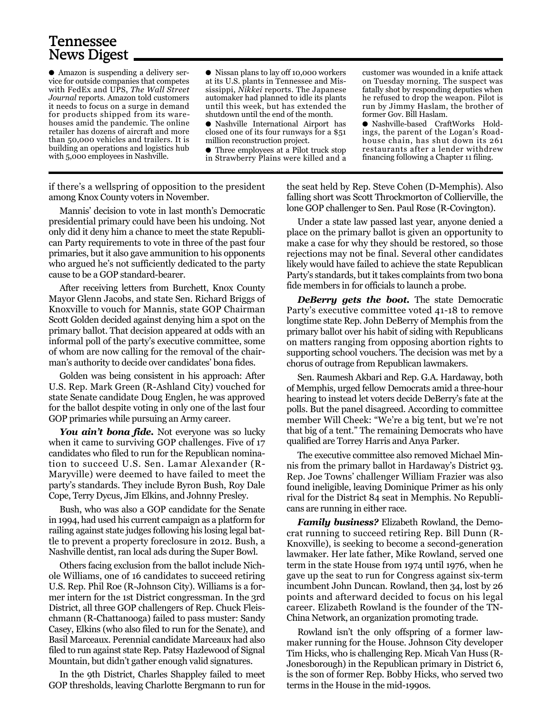### Tennessee News Digest

● Amazon is suspending a delivery service for outside companies that competes with FedEx and UPS, *The Wall Street Journal* reports. Amazon told customers it needs to focus on a surge in demand for products shipped from its warehouses amid the pandemic. The online retailer has dozens of aircraft and more than 50,000 vehicles and trailers. It is building an operations and logistics hub with 5,000 employees in Nashville.

● Nissan plans to lay off 10,000 workers at its U.S. plants in Tennessee and Mississippi, *Nikkei* reports. The Japanese automaker had planned to idle its plants until this week, but has extended the shutdown until the end of the month.

● Nashville International Airport has closed one of its four runways for a \$51 million reconstruction project.

● Three employees at a Pilot truck stop in Strawberry Plains were killed and a

customer was wounded in a knife attack on Tuesday morning. The suspect was fatally shot by responding deputies when he refused to drop the weapon. Pilot is run by Jimmy Haslam, the brother of former Gov. Bill Haslam.

● Nashville-based CraftWorks Holdings, the parent of the Logan's Roadhouse chain, has shut down its 261 restaurants after a lender withdrew financing following a Chapter 11 filing.

if there's a wellspring of opposition to the president among Knox County voters in November.

Mannis' decision to vote in last month's Democratic presidential primary could have been his undoing. Not only did it deny him a chance to meet the state Republican Party requirements to vote in three of the past four primaries, but it also gave ammunition to his opponents who argued he's not sufficiently dedicated to the party cause to be a GOP standard-bearer.

After receiving letters from Burchett, Knox County Mayor Glenn Jacobs, and state Sen. Richard Briggs of Knoxville to vouch for Mannis, state GOP Chairman Scott Golden decided against denying him a spot on the primary ballot. That decision appeared at odds with an informal poll of the party's executive committee, some of whom are now calling for the removal of the chairman's authority to decide over candidates' bona fides.

Golden was being consistent in his approach: After U.S. Rep. Mark Green (R-Ashland City) vouched for state Senate candidate Doug Englen, he was approved for the ballot despite voting in only one of the last four GOP primaries while pursuing an Army career.

You ain't bona *fide*. Not everyone was so lucky when it came to surviving GOP challenges. Five of 17 candidates who filed to run for the Republican nomination to succeed U.S. Sen. Lamar Alexander (R-Maryville) were deemed to have failed to meet the party's standards. They include Byron Bush, Roy Dale Cope, Terry Dycus, Jim Elkins, and Johnny Presley.

Bush, who was also a GOP candidate for the Senate in 1994, had used his current campaign as a platform for railing against state judges following his losing legal battle to prevent a property foreclosure in 2012. Bush, a Nashville dentist, ran local ads during the Super Bowl.

Others facing exclusion from the ballot include Nichole Williams, one of 16 candidates to succeed retiring U.S. Rep. Phil Roe (R-Johnson City). Williams is a former intern for the 1st District congressman. In the 3rd District, all three GOP challengers of Rep. Chuck Fleischmann (R-Chattanooga) failed to pass muster: Sandy Casey, Elkins (who also filed to run for the Senate), and Basil Marceaux. Perennial candidate Marceaux had also filed to run against state Rep. Patsy Hazlewood of Signal Mountain, but didn't gather enough valid signatures.

In the 9th District, Charles Shappley failed to meet GOP thresholds, leaving Charlotte Bergmann to run for

the seat held by Rep. Steve Cohen (D-Memphis). Also falling short was Scott Throckmorton of Collierville, the lone GOP challenger to Sen. Paul Rose (R-Covington).

Under a state law passed last year, anyone denied a place on the primary ballot is given an opportunity to make a case for why they should be restored, so those rejections may not be final. Several other candidates likely would have failed to achieve the state Republican Party's standards, but it takes complaints from two bona fide members in for officials to launch a probe.

*DeBerry gets the boot.* The state Democratic Party's executive committee voted 41-18 to remove longtime state Rep. John DeBerry of Memphis from the primary ballot over his habit of siding with Republicans on matters ranging from opposing abortion rights to supporting school vouchers. The decision was met by a chorus of outrage from Republican lawmakers.

Sen. Raumesh Akbari and Rep. G.A. Hardaway, both of Memphis, urged fellow Democrats amid a three-hour hearing to instead let voters decide DeBerry's fate at the polls. But the panel disagreed. According to committee member Will Cheek: "We're a big tent, but we're not that big of a tent." The remaining Democrats who have qualified are Torrey Harris and Anya Parker.

The executive committee also removed Michael Minnis from the primary ballot in Hardaway's District 93. Rep. Joe Towns' challenger William Frazier was also found ineligible, leaving Dominique Primer as his only rival for the District 84 seat in Memphis. No Republicans are running in either race.

*Family business?* Elizabeth Rowland, the Democrat running to succeed retiring Rep. Bill Dunn (R-Knoxville), is seeking to become a second-generation lawmaker. Her late father, Mike Rowland, served one term in the state House from 1974 until 1976, when he gave up the seat to run for Congress against six-term incumbent John Duncan. Rowland, then 34, lost by 26 points and afterward decided to focus on his legal career. Elizabeth Rowland is the founder of the TN-China Network, an organization promoting trade.

Rowland isn't the only offspring of a former lawmaker running for the House. Johnson City developer Tim Hicks, who is challenging Rep. Micah Van Huss (R-Jonesborough) in the Republican primary in District 6, is the son of former Rep. Bobby Hicks, who served two terms in the House in the mid-1990s.